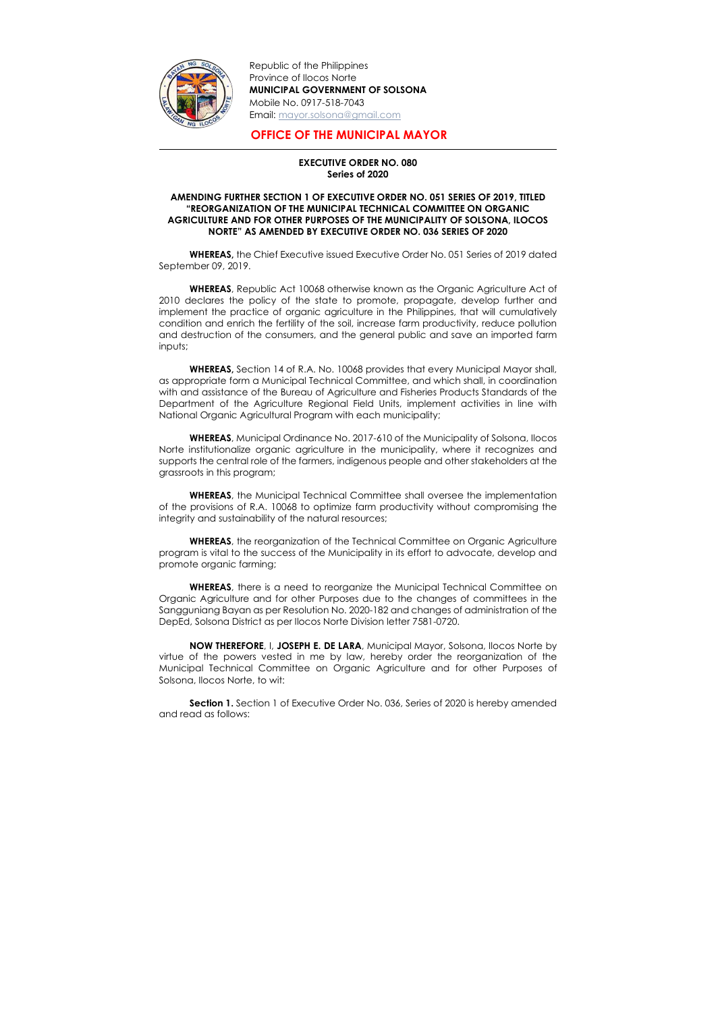

-

Republic of the Philippines Province of Ilocos Norte MUNICIPAL GOVERNMENT OF SOLSONA Mobile No. 0917-518-7043 Email: mayor.solsona@gmail.com

## OFFICE OF THE MUNICIPAL MAYOR

## EXECUTIVE ORDER NO. 080 Series of 2020

## AMENDING FURTHER SECTION 1 OF EXECUTIVE ORDER NO. 051 SERIES OF 2019, TITLED "REORGANIZATION OF THE MUNICIPAL TECHNICAL COMMITTEE ON ORGANIC AGRICULTURE AND FOR OTHER PURPOSES OF THE MUNICIPALITY OF SOLSONA, ILOCOS NORTE" AS AMENDED BY EXECUTIVE ORDER NO. 036 SERIES OF 2020

WHEREAS, the Chief Executive issued Executive Order No. 051 Series of 2019 dated September 09, 2019.

WHEREAS, Republic Act 10068 otherwise known as the Organic Agriculture Act of 2010 declares the policy of the state to promote, propagate, develop further and implement the practice of organic agriculture in the Philippines, that will cumulatively condition and enrich the fertility of the soil, increase farm productivity, reduce pollution and destruction of the consumers, and the general public and save an imported farm inputs;

WHEREAS, there is a need to reorganize the Municipal Technical Committee on Organic Agriculture and for other Purposes due to the changes of committees in the Sangguniang Bayan as per Resolution No. 2020-182 and changes of administration of the DepEd, Solsona District as per Ilocos Norte Division letter 7581-0720.

WHEREAS, Section 14 of R.A. No. 10068 provides that every Municipal Mayor shall, as appropriate form a Municipal Technical Committee, and which shall, in coordination with and assistance of the Bureau of Agriculture and Fisheries Products Standards of the Department of the Agriculture Regional Field Units, implement activities in line with National Organic Agricultural Program with each municipality;

**Section 1.** Section 1 of Executive Order No. 036, Series of 2020 is hereby amended and read as follows:

WHEREAS, Municipal Ordinance No. 2017-610 of the Municipality of Solsona, Ilocos Norte institutionalize organic agriculture in the municipality, where it recognizes and supports the central role of the farmers, indigenous people and other stakeholders at the grassroots in this program;

WHEREAS, the Municipal Technical Committee shall oversee the implementation of the provisions of R.A. 10068 to optimize farm productivity without compromising the integrity and sustainability of the natural resources;

WHEREAS, the reorganization of the Technical Committee on Organic Agriculture program is vital to the success of the Municipality in its effort to advocate, develop and promote organic farming;

NOW THEREFORE, I, JOSEPH E. DE LARA, Municipal Mayor, Solsona, Ilocos Norte by virtue of the powers vested in me by law, hereby order the reorganization of the Municipal Technical Committee on Organic Agriculture and for other Purposes of Solsona, Ilocos Norte, to wit: